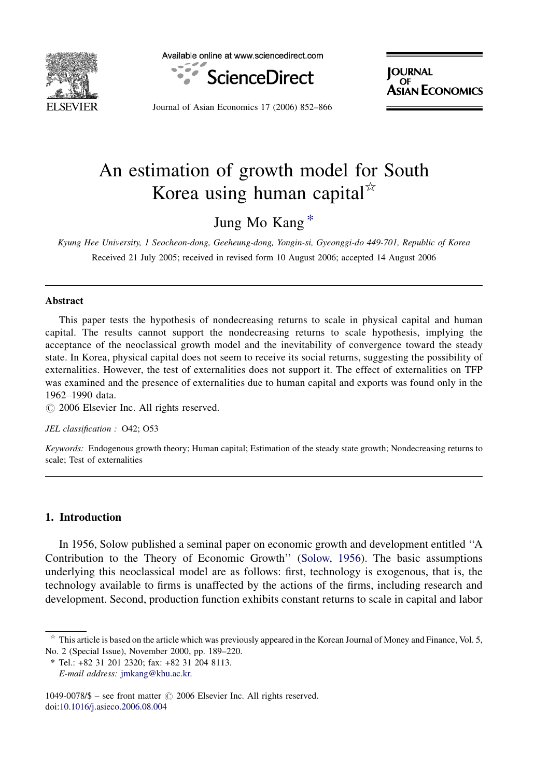

Available online at www.sciencedirect.com



**IOURNAL** UF ECONOMICS

Journal of Asian Economics 17 (2006) 852–866

# An estimation of growth model for South Korea using human capital<sup> $\tilde{K}$ </sup>

### Jung Mo Kang \*

Kyung Hee University, 1 Seocheon-dong, Geeheung-dong, Yongin-si, Gyeonggi-do 449-701, Republic of Korea Received 21 July 2005; received in revised form 10 August 2006; accepted 14 August 2006

#### Abstract

This paper tests the hypothesis of nondecreasing returns to scale in physical capital and human capital. The results cannot support the nondecreasing returns to scale hypothesis, implying the acceptance of the neoclassical growth model and the inevitability of convergence toward the steady state. In Korea, physical capital does not seem to receive its social returns, suggesting the possibility of externalities. However, the test of externalities does not support it. The effect of externalities on TFP was examined and the presence of externalities due to human capital and exports was found only in the 1962–1990 data.

 $\circ$  2006 Elsevier Inc. All rights reserved.

JEL classification : O42; O53

Keywords: Endogenous growth theory; Human capital; Estimation of the steady state growth; Nondecreasing returns to scale; Test of externalities

### 1. Introduction

In 1956, Solow published a seminal paper on economic growth and development entitled ''A Contribution to the Theory of Economic Growth'' ([Solow, 1956\)](#page--1-0). The basic assumptions underlying this neoclassical model are as follows: first, technology is exogenous, that is, the technology available to firms is unaffected by the actions of the firms, including research and development. Second, production function exhibits constant returns to scale in capital and labor

 $*$  This article is based on the article which was previously appeared in the Korean Journal of Money and Finance, Vol. 5, No. 2 (Special Issue), November 2000, pp. 189–220.

<sup>\*</sup> Tel.: +82 31 201 2320; fax: +82 31 204 8113. E-mail address: [jmkang@khu.ac.kr.](mailto:jmkang@khu.ac.kr)

 $1049-0078/\$$  – see front matter  $\odot$  2006 Elsevier Inc. All rights reserved. doi[:10.1016/j.asieco.2006.08.004](http://dx.doi.org/10.1016/j.asieco.2006.08.004)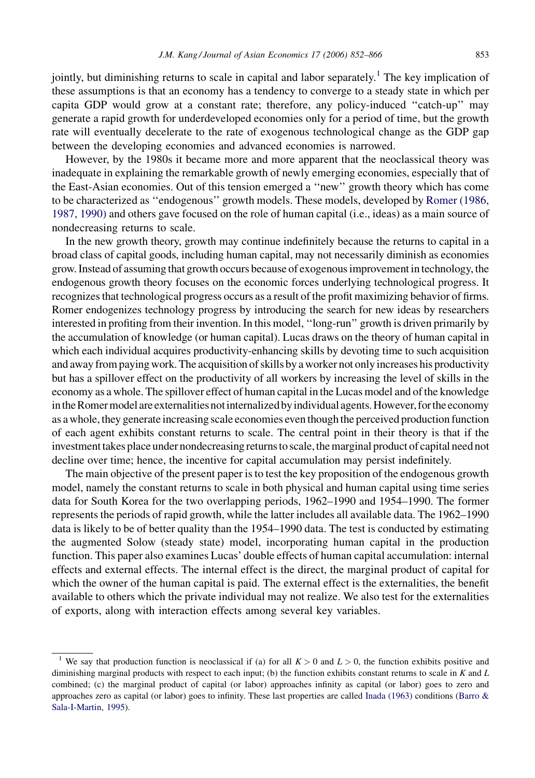jointly, but diminishing returns to scale in capital and labor separately.<sup>1</sup> The key implication of these assumptions is that an economy has a tendency to converge to a steady state in which per capita GDP would grow at a constant rate; therefore, any policy-induced ''catch-up'' may generate a rapid growth for underdeveloped economies only for a period of time, but the growth rate will eventually decelerate to the rate of exogenous technological change as the GDP gap between the developing economies and advanced economies is narrowed.

However, by the 1980s it became more and more apparent that the neoclassical theory was inadequate in explaining the remarkable growth of newly emerging economies, especially that of the East-Asian economies. Out of this tension emerged a ''new'' growth theory which has come to be characterized as ''endogenous'' growth models. These models, developed by [Romer \(1986,](#page--1-0) [1987, 1990\)](#page--1-0) and others gave focused on the role of human capital (i.e., ideas) as a main source of nondecreasing returns to scale.

In the new growth theory, growth may continue indefinitely because the returns to capital in a broad class of capital goods, including human capital, may not necessarily diminish as economies grow. Instead of assuming that growth occurs because of exogenous improvement in technology, the endogenous growth theory focuses on the economic forces underlying technological progress. It recognizes that technological progress occurs as a result of the profit maximizing behavior of firms. Romer endogenizes technology progress by introducing the search for new ideas by researchers interested in profiting from their invention. In this model, ''long-run'' growth is driven primarily by the accumulation of knowledge (or human capital). Lucas draws on the theory of human capital in which each individual acquires productivity-enhancing skills by devoting time to such acquisition and away from paying work. The acquisition of skills by a worker not only increases his productivity but has a spillover effect on the productivity of all workers by increasing the level of skills in the economy as a whole. The spillover effect of human capital in the Lucas model and of the knowledge in the Romer model are externalities not internalized by individual agents. However, for the economy as a whole, they generate increasing scale economies even though the perceived production function of each agent exhibits constant returns to scale. The central point in their theory is that if the investment takes place under nondecreasing returns to scale, the marginal product of capital need not decline over time; hence, the incentive for capital accumulation may persist indefinitely.

The main objective of the present paper is to test the key proposition of the endogenous growth model, namely the constant returns to scale in both physical and human capital using time series data for South Korea for the two overlapping periods, 1962–1990 and 1954–1990. The former represents the periods of rapid growth, while the latter includes all available data. The 1962–1990 data is likely to be of better quality than the 1954–1990 data. The test is conducted by estimating the augmented Solow (steady state) model, incorporating human capital in the production function. This paper also examines Lucas' double effects of human capital accumulation: internal effects and external effects. The internal effect is the direct, the marginal product of capital for which the owner of the human capital is paid. The external effect is the externalities, the benefit available to others which the private individual may not realize. We also test for the externalities of exports, along with interaction effects among several key variables.

<sup>&</sup>lt;sup>1</sup> We say that production function is neoclassical if (a) for all  $K > 0$  and  $L > 0$ , the function exhibits positive and diminishing marginal products with respect to each input; (b) the function exhibits constant returns to scale in  $K$  and  $L$ combined; (c) the marginal product of capital (or labor) approaches infinity as capital (or labor) goes to zero and approaches zero as capital (or labor) goes to infinity. These last properties are called [Inada \(1963\)](#page--1-0) conditions [\(Barro &](#page--1-0) [Sala-I-Martin, 1995](#page--1-0)).